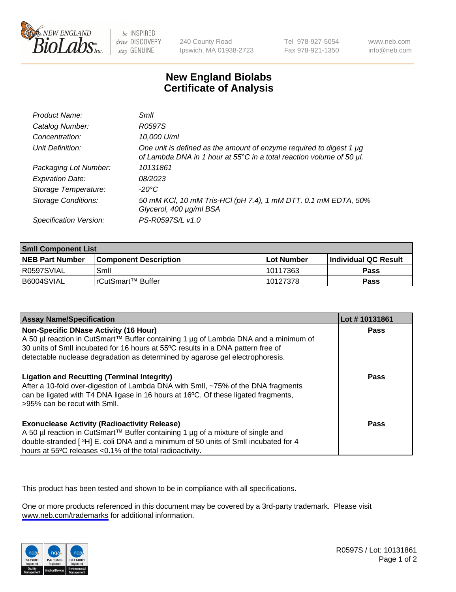

be INSPIRED drive DISCOVERY stay GENUINE

240 County Road Ipswich, MA 01938-2723 Tel 978-927-5054 Fax 978-921-1350

www.neb.com info@neb.com

## **New England Biolabs Certificate of Analysis**

| Product Name:              | Smll                                                                                                                                        |
|----------------------------|---------------------------------------------------------------------------------------------------------------------------------------------|
| Catalog Number:            | R0597S                                                                                                                                      |
| Concentration:             | 10,000 U/ml                                                                                                                                 |
| Unit Definition:           | One unit is defined as the amount of enzyme required to digest 1 µg<br>of Lambda DNA in 1 hour at 55°C in a total reaction volume of 50 µl. |
| Packaging Lot Number:      | 10131861                                                                                                                                    |
| <b>Expiration Date:</b>    | 08/2023                                                                                                                                     |
| Storage Temperature:       | -20°C                                                                                                                                       |
| <b>Storage Conditions:</b> | 50 mM KCl, 10 mM Tris-HCl (pH 7.4), 1 mM DTT, 0.1 mM EDTA, 50%<br>Glycerol, 400 µg/ml BSA                                                   |
| Specification Version:     | PS-R0597S/L v1.0                                                                                                                            |

| <b>Smll Component List</b> |                         |              |                             |  |
|----------------------------|-------------------------|--------------|-----------------------------|--|
| <b>NEB Part Number</b>     | l Component Description | l Lot Number | <b>Individual QC Result</b> |  |
| I R0597SVIAL               | Smil                    | 10117363     | Pass                        |  |
| B6004SVIAL                 | l rCutSmart™ Buffer_    | 10127378     | Pass                        |  |

| <b>Assay Name/Specification</b>                                                                                                                                                                                                                                                                          | Lot #10131861 |
|----------------------------------------------------------------------------------------------------------------------------------------------------------------------------------------------------------------------------------------------------------------------------------------------------------|---------------|
| <b>Non-Specific DNase Activity (16 Hour)</b><br>A 50 µl reaction in CutSmart™ Buffer containing 1 µg of Lambda DNA and a minimum of<br>30 units of Smll incubated for 16 hours at 55°C results in a DNA pattern free of<br>detectable nuclease degradation as determined by agarose gel electrophoresis. | Pass          |
| <b>Ligation and Recutting (Terminal Integrity)</b><br>After a 10-fold over-digestion of Lambda DNA with Smll, ~75% of the DNA fragments<br>can be ligated with T4 DNA ligase in 16 hours at 16°C. Of these ligated fragments,<br>>95% can be recut with Smll.                                            | Pass          |
| <b>Exonuclease Activity (Radioactivity Release)</b><br>A 50 µl reaction in CutSmart™ Buffer containing 1 µg of a mixture of single and<br>double-stranded [3H] E. coli DNA and a minimum of 50 units of Smll incubated for 4<br>hours at 55°C releases <0.1% of the total radioactivity.                 | Pass          |

This product has been tested and shown to be in compliance with all specifications.

One or more products referenced in this document may be covered by a 3rd-party trademark. Please visit <www.neb.com/trademarks>for additional information.